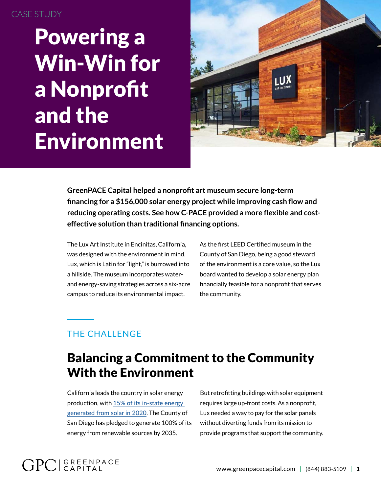#### CASE STUDY

Powering a Win-Win for a Nonprofit and the Environment



**GreenPACE Capital helped a nonprofit art museum secure long-term financing for a \$156,000 solar energy project while improving cash flow and reducing operating costs. See how C-PACE provided a more flexible and costeffective solution than traditional financing options.**

The Lux Art Institute in Encinitas, California, was designed with the environment in mind. Lux, which is Latin for "light," is burrowed into a hillside. The museum incorporates waterand energy-saving strategies across a six-acre campus to reduce its environmental impact.

As the first LEED Certified museum in the County of San Diego, being a good steward of the environment is a core value, so the Lux board wanted to develop a solar energy plan financially feasible for a nonprofit that serves the community.

### THE CHALLENGE

**GPC** GREENPACE

# Balancing a Commitment to the Community With the Environment

California leads the country in solar energy production, with [15% of its in-state energy](https://ww2.energy.ca.gov/almanac/renewables_data/solar/index_cms.php)  [generated from solar in 2020](https://ww2.energy.ca.gov/almanac/renewables_data/solar/index_cms.php). The County of San Diego has pledged to generate 100% of its energy from renewable sources by 2035.

But retrofitting buildings with solar equipment requires large up-front costs. As a nonprofit, Lux needed a way to pay for the solar panels without diverting funds from its mission to provide programs that support the community.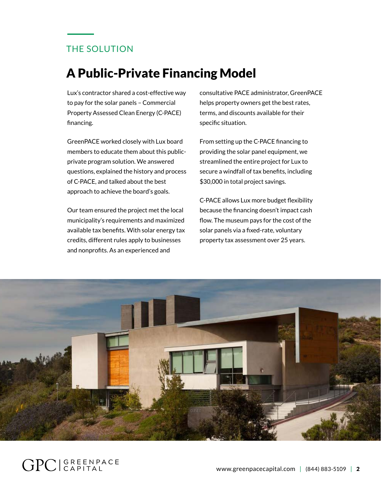#### THE SOLUTION

# A Public-Private Financing Model

Lux's contractor shared a cost-effective way to pay for the solar panels – Commercial Property Assessed Clean Energy (C-PACE) financing.

GreenPACE worked closely with Lux board members to educate them about this publicprivate program solution. We answered questions, explained the history and process of C-PACE, and talked about the best approach to achieve the board's goals.

Our team ensured the project met the local municipality's requirements and maximized available tax benefits. With solar energy tax credits, different rules apply to businesses and nonprofits. As an experienced and

consultative PACE administrator, GreenPACE helps property owners get the best rates, terms, and discounts available for their specific situation.

From setting up the C-PACE financing to providing the solar panel equipment, we streamlined the entire project for Lux to secure a windfall of tax benefits, including \$30,000 in total project savings.

C-PACE allows Lux more budget flexibility because the financing doesn't impact cash flow. The museum pays for the cost of the solar panels via a fixed-rate, voluntary property tax assessment over 25 years.